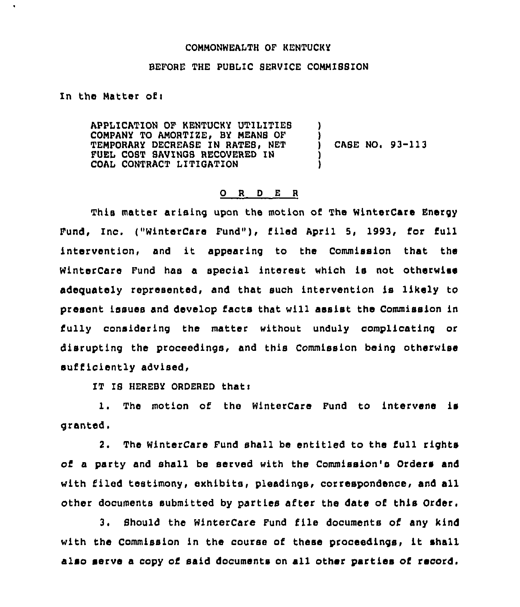## COMMONWEALTH OF KENTUCKY

## BEFORE THE PUBLIC SERVICE COMMISSION

In the Matter of<

 $\ddot{\phantom{a}}$ 

APPLICATION OF KENTUCKY UTILITIEB COMPANY TO AMORTIZE, BY MEANS OF TEMPORARY DECREASE IN RATES. NET FUEL COST SAVINGS RECOVERED IN COAL CONTRACT LITIGATION ) ) CASE NO.  $93-113$ ) )

## 0 <sup>R</sup> <sup>D</sup> <sup>E</sup> <sup>R</sup>

This matter arising upon the motion of The WinterCare Energy Fund, Inc. ("WinterCare Fund"), filed April 5, 1993, for full intervention, and it appearing to the Commission that the WinterCare Fund has <sup>a</sup> special interest which is not otherwise adeguately represented, and that such intervention is likely to present issues and develop facts that will assist the Commission in fully considering the matter without unduly complicating or disrupting the proceedings, and this Commission being otherwise sufficiently advised,

IT IB HEREBY ORDERED thati

1. The motion of the WinterCare Fund to intervene is granted.

2. The WinterCare Fund shall be entitled to the full rights of a party and shall be served with the Commission's Orders and with filed testimony, exhibits, pleadings, correspondence, and all other documents submitted by parties after the date of this Order.

3. Should the WinterCare Fund file documents of any kind with the Commission in the course of these proceedings, it shall also serve a copy of said documents on sll other parties of record.